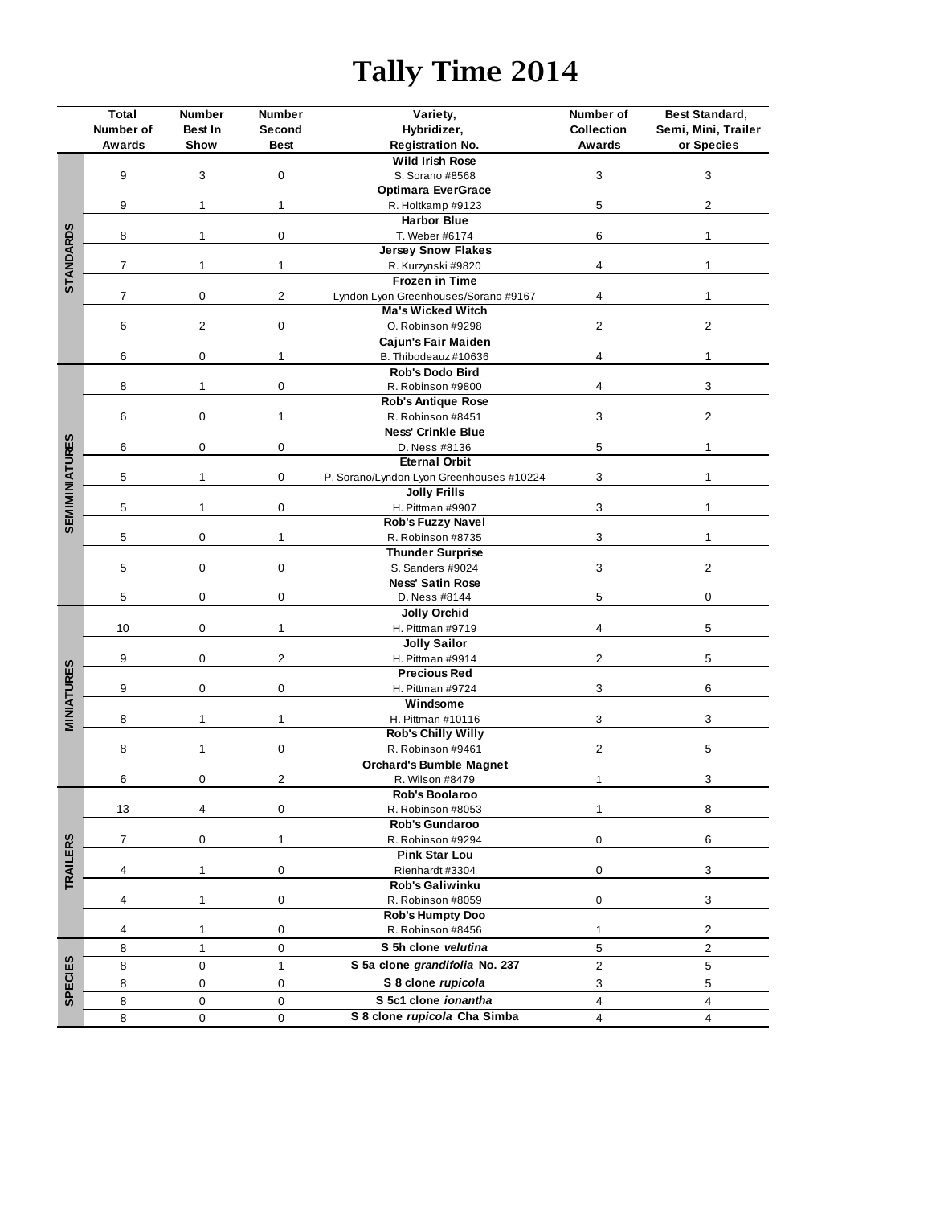## **Tally Time 2014**

|                       | Total     | <b>Number</b>                           | Number         | Variety,                                 | Number of         | Best Standard,          |  |
|-----------------------|-----------|-----------------------------------------|----------------|------------------------------------------|-------------------|-------------------------|--|
|                       | Number of | Best In                                 | Second         | Hybridizer,                              | <b>Collection</b> | Semi, Mini, Trailer     |  |
|                       | Awards    | Show                                    | <b>Best</b>    | <b>Registration No.</b>                  | Awards            | or Species              |  |
|                       |           | 3                                       | 0              | Wild Irish Rose                          |                   |                         |  |
|                       | 9         |                                         |                | S. Sorano #8568                          | 3                 | 3                       |  |
|                       |           |                                         |                | <b>Optimara EverGrace</b>                |                   |                         |  |
|                       | 9         | 1                                       | 1              | R. Holtkamp #9123                        | 5                 | $\overline{c}$          |  |
|                       |           |                                         |                | <b>Harbor Blue</b>                       |                   |                         |  |
| <b>STANDARDS</b>      | 8         | $\mathbf{1}$                            | 0              | T. Weber #6174                           | 6                 | $\mathbf{1}$            |  |
|                       |           |                                         |                | <b>Jersey Snow Flakes</b>                |                   |                         |  |
|                       | 7         | 1                                       | 1              | R. Kurzynski #9820                       | 4                 | $\mathbf{1}$            |  |
|                       |           |                                         |                | <b>Frozen in Time</b>                    |                   |                         |  |
|                       | 7         | 0                                       | 2              | Lyndon Lyon Greenhouses/Sorano #9167     | 4                 | $\mathbf{1}$            |  |
|                       |           |                                         |                | <b>Ma's Wicked Witch</b>                 |                   |                         |  |
|                       | 6         | $\overline{c}$                          | $\pmb{0}$      | O. Robinson #9298                        | $\overline{c}$    | $\overline{\mathbf{c}}$ |  |
|                       |           |                                         | $\mathbf{1}$   | Cajun's Fair Maiden                      |                   |                         |  |
|                       | 6         | 0                                       |                | B. Thibodeauz #10636                     | 4                 | 1                       |  |
|                       |           | $\mathbf{1}$                            | 0              | Rob's Dodo Bird                          |                   |                         |  |
|                       | 8         |                                         |                | R. Robinson #9800                        | 4                 | 3                       |  |
|                       |           |                                         |                | <b>Rob's Antique Rose</b>                |                   |                         |  |
|                       | 6         | 0                                       | 1              | R. Robinson #8451                        | 3                 | 2                       |  |
|                       |           |                                         |                | <b>Ness' Crinkle Blue</b>                |                   |                         |  |
|                       | 6         | 0                                       | 0              | D. Ness #8136                            | 5                 | $\mathbf 1$             |  |
|                       |           |                                         |                | <b>Eternal Orbit</b>                     |                   |                         |  |
| <b>SEMIMINIATURES</b> | 5         | $\mathbf{1}$                            | 0              | P. Sorano/Lyndon Lyon Greenhouses #10224 | 3                 | $\mathbf{1}$            |  |
|                       |           |                                         |                | <b>Jolly Frills</b>                      |                   |                         |  |
|                       | 5         | $\mathbf{1}$                            | 0              | H. Pittman #9907                         | 3                 | $\mathbf 1$             |  |
|                       |           |                                         |                | Rob's Fuzzy Navel                        |                   |                         |  |
|                       | 5         | 0                                       | $\mathbf{1}$   | R. Robinson #8735                        | 3                 | $\mathbf 1$             |  |
|                       |           |                                         |                | <b>Thunder Surprise</b>                  |                   |                         |  |
|                       | 5         | 0                                       | 0              | S. Sanders #9024                         | 3                 | $\overline{c}$          |  |
|                       |           | 0                                       |                | <b>Ness' Satin Rose</b>                  |                   |                         |  |
|                       | 5         |                                         | 0              | D. Ness #8144                            | 5                 | 0                       |  |
|                       |           | 0                                       |                | <b>Jolly Orchid</b>                      |                   |                         |  |
|                       | 10        |                                         | $\mathbf{1}$   | H. Pittman #9719                         | 4                 | 5                       |  |
|                       |           |                                         |                | <b>Jolly Sailor</b>                      |                   |                         |  |
|                       | 9         | 0<br>$\overline{2}$<br>H. Pittman #9914 |                |                                          | $\overline{2}$    | 5                       |  |
| <b>MINIATURES</b>     |           |                                         |                | <b>Precious Red</b>                      |                   |                         |  |
|                       | 9         | 0                                       | 0              | H. Pittman #9724                         | 3                 | 6                       |  |
|                       |           |                                         |                | Windsome                                 |                   |                         |  |
|                       | 8         | 1                                       | 1              | H. Pittman #10116                        | 3                 | 3                       |  |
|                       |           |                                         |                | <b>Rob's Chilly Willy</b>                |                   |                         |  |
|                       | 8         | 1                                       | 0              | R. Robinson #9461                        | $\mathbf 2$       | 5                       |  |
|                       |           |                                         | $\overline{2}$ | <b>Orchard's Bumble Magnet</b>           |                   |                         |  |
|                       | 6         | 0                                       |                | R. Wilson #8479                          | $\mathbf{1}$      | 3                       |  |
|                       |           |                                         |                | Rob's Boolaroo                           |                   |                         |  |
|                       | 13        | 4                                       | $\mathbf 0$    | R. Robinson #8053                        | 1                 | 8                       |  |
|                       |           |                                         |                | Rob's Gundaroo                           |                   |                         |  |
|                       | 7         | 0                                       | $\mathbf{1}$   | R. Robinson #9294                        | 0                 | $\,6$                   |  |
|                       |           |                                         |                | <b>Pink Star Lou</b>                     |                   |                         |  |
|                       | 4         | $\mathbf{1}$                            | $\mathsf 0$    | Rienhardt #3304                          | $\mathbf 0$       | 3                       |  |
| <b>TRAILERS</b>       |           |                                         |                | <b>Rob's Galiwinku</b>                   |                   |                         |  |
|                       | 4         | $\mathbf{1}$                            | 0              | R. Robinson #8059                        | 0                 | 3                       |  |
|                       |           |                                         |                | <b>Rob's Humpty Doo</b>                  |                   |                         |  |
|                       | 4         | 1                                       | 0              | R. Robinson #8456                        | $\mathbf{1}$      | $\overline{c}$          |  |
|                       | 8         | $\mathbf{1}$                            | $\mathsf 0$    | S 5h clone velutina                      | 5                 | $\overline{c}$          |  |
|                       |           |                                         |                |                                          |                   |                         |  |
|                       | 8         | $\mathbf 0$                             | $\mathbf{1}$   | S 5a clone grandifolia No. 237           | $\overline{c}$    | 5                       |  |
| <b>SPECIES</b>        | 8         | $\mathbf 0$                             | $\mathbf 0$    | S 8 clone rupicola                       | $\mathbf{3}$      | 5                       |  |
|                       | 8         | $\mathbf 0$                             | 0              | S 5c1 clone ionantha                     | $\overline{4}$    | $\overline{\mathbf{4}}$ |  |
|                       | 8         | 0                                       | 0              | S 8 clone rupicola Cha Simba             | $\overline{4}$    | 4                       |  |
|                       |           |                                         |                |                                          |                   |                         |  |